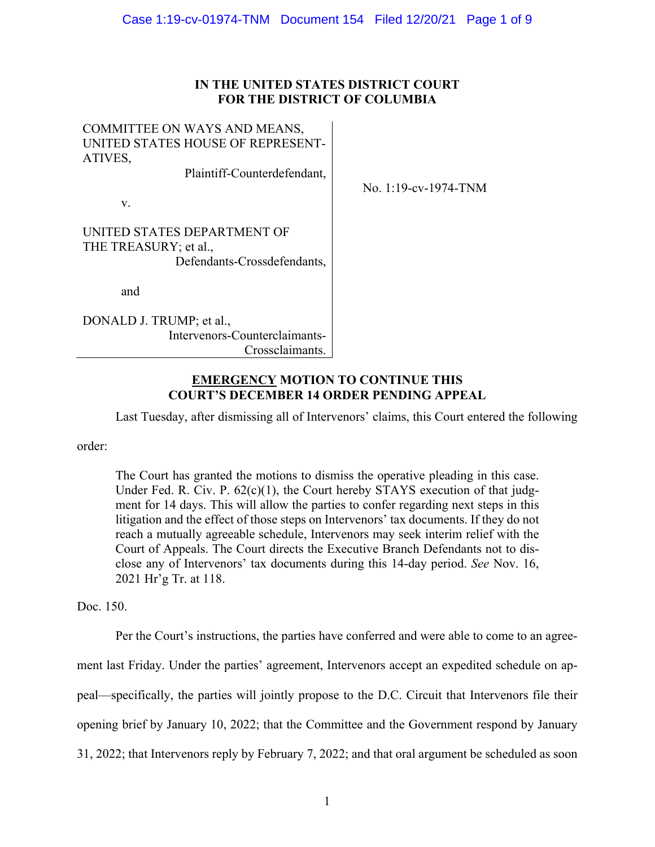# **IN THE UNITED STATES DISTRICT COURT FOR THE DISTRICT OF COLUMBIA**

COMMITTEE ON WAYS AND MEANS, UNITED STATES HOUSE OF REPRESENT-ATIVES,

Plaintiff-Counterdefendant,

v.

No. 1:19-cv-1974-TNM

UNITED STATES DEPARTMENT OF THE TREASURY; et al., Defendants-Crossdefendants,

and

DONALD J. TRUMP; et al., Intervenors-Counterclaimants-Crossclaimants.

## **EMERGENCY MOTION TO CONTINUE THIS COURT'S DECEMBER 14 ORDER PENDING APPEAL**

Last Tuesday, after dismissing all of Intervenors' claims, this Court entered the following

order:

 The Court has granted the motions to dismiss the operative pleading in this case. Under Fed. R. Civ. P. 62(c)(1), the Court hereby STAYS execution of that judg- ment for 14 days. This will allow the parties to confer regarding next steps in this litigation and the effect of those steps on Intervenors' tax documents. If they do not Court of Appeals. The Court directs the Executive Branch Defendants not to dis- close any of Intervenors' tax documents during this 14-day period. *See* Nov. 16, reach a mutually agreeable schedule, Intervenors may seek interim relief with the 2021 Hr'g Tr. at 118.

Doc. 150.

 Per the Court's instructions, the parties have conferred and were able to come to an agree- ment last Friday. Under the parties' agreement, Intervenors accept an expedited schedule on ap- peal—specifically, the parties will jointly propose to the D.C. Circuit that Intervenors file their opening brief by January 10, 2022; that the Committee and the Government respond by January 31, 2022; that Intervenors reply by February 7, 2022; and that oral argument be scheduled as soon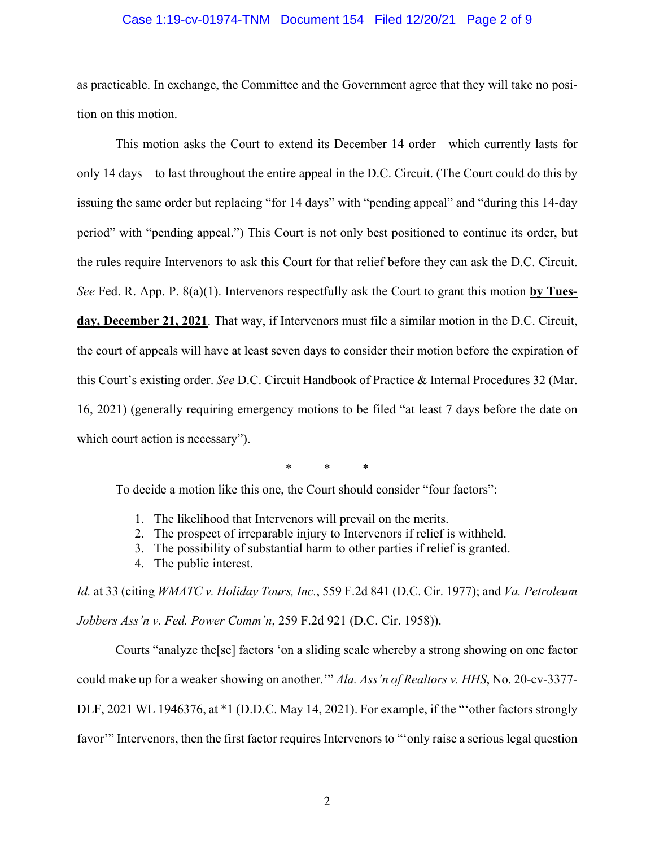#### Case 1:19-cv-01974-TNM Document 154 Filed 12/20/21 Page 2 of 9

 as practicable. In exchange, the Committee and the Government agree that they will take no posi-tion on this motion.

 This motion asks the Court to extend its December 14 order—which currently lasts for only 14 days—to last throughout the entire appeal in the D.C. Circuit. (The Court could do this by issuing the same order but replacing "for 14 days" with "pending appeal" and "during this 14-day period" with "pending appeal.") This Court is not only best positioned to continue its order, but the rules require Intervenors to ask this Court for that relief before they can ask the D.C. Circuit. *See* Fed. R. App. P. 8(a)(1). Intervenors respectfully ask the Court to grant this motion **by Tues- day, December 21, 2021**. That way, if Intervenors must file a similar motion in the D.C. Circuit, the court of appeals will have at least seven days to consider their motion before the expiration of this Court's existing order. *See* D.C. Circuit Handbook of Practice & Internal Procedures 32 (Mar. 16, 2021) (generally requiring emergency motions to be filed "at least 7 days before the date on which court action is necessary").

\* \* \*

To decide a motion like this one, the Court should consider "four factors":

- 1. The likelihood that Intervenors will prevail on the merits.
- 2. The prospect of irreparable injury to Intervenors if relief is withheld.
- 3. The possibility of substantial harm to other parties if relief is granted.
- 4. The public interest.

 *Id.* at 33 (citing *WMATC v. Holiday Tours, Inc.*, 559 F.2d 841 (D.C. Cir. 1977); and *Va. Petroleum*  Jobbers Ass'n v. Fed. Power Comm'n, 259 F.2d 921 (D.C. Cir. 1958)).

*Jobbers Ass'n v. Fed. Power Comm'n*, 259 F.2d 921 (D.C. Cir. 1958)).<br>Courts "analyze the[se] factors 'on a sliding scale whereby a strong showing on one factor could make up for a weaker showing on another.'" *Ala. Ass'n of Realtors v. HHS*, No. 20-cv-3377- DLF, 2021 WL 1946376, at \*1 (D.D.C. May 14, 2021). For example, if the "'other factors strongly favor'" Intervenors, then the first factor requires Intervenors to "'only raise a serious legal question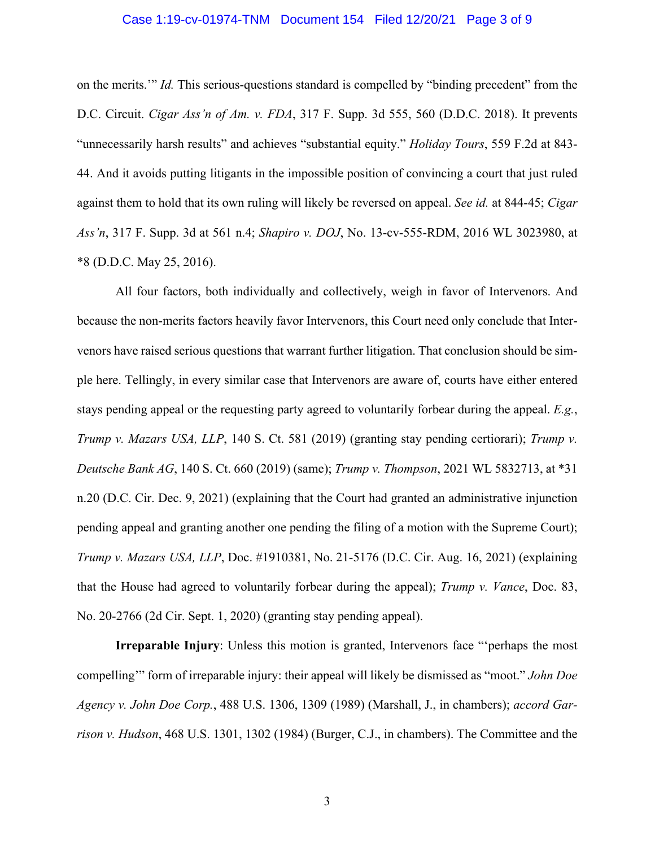## Case 1:19-cv-01974-TNM Document 154 Filed 12/20/21 Page 3 of 9

 on the merits.'" *Id.* This serious-questions standard is compelled by "binding precedent" from the  D.C. Circuit. *Cigar Ass'n of Am. v. FDA*, 317 F. Supp. 3d 555, 560 (D.D.C. 2018). It prevents "unnecessarily harsh results" and achieves "substantial equity." *Holiday Tours*, 559 F.2d at 843- 44. And it avoids putting litigants in the impossible position of convincing a court that just ruled against them to hold that its own ruling will likely be reversed on appeal. *See id.* at 844-45; *Cigar Ass'n*, 317 F. Supp. 3d at 561 n.4; *Shapiro v. DOJ*, No. 13-cv-555-RDM, 2016 WL 3023980, at \*8 (D.D.C. May 25, 2016).

 because the non-merits factors heavily favor Intervenors, this Court need only conclude that Inter- venors have raised serious questions that warrant further litigation. That conclusion should be sim- ple here. Tellingly, in every similar case that Intervenors are aware of, courts have either entered stays pending appeal or the requesting party agreed to voluntarily forbear during the appeal. *E.g.*,  *Deutsche Bank AG*, 140 S. Ct. 660 (2019) (same); *Trump v. Thompson*, 2021 WL 5832713, at \*31 n.20 (D.C. Cir. Dec. 9, 2021) (explaining that the Court had granted an administrative injunction pending appeal and granting another one pending the filing of a motion with the Supreme Court); *Trump v. Mazars USA, LLP*, Doc. #1910381, No. 21-5176 (D.C. Cir. Aug. 16, 2021) (explaining that the House had agreed to voluntarily forbear during the appeal); *Trump v. Vance*, Doc. 83, All four factors, both individually and collectively, weigh in favor of Intervenors. And *Trump v. Mazars USA, LLP*, 140 S. Ct. 581 (2019) (granting stay pending certiorari); *Trump v.*  No. 20-2766 (2d Cir. Sept. 1, 2020) (granting stay pending appeal).

 **Irreparable Injury**: Unless this motion is granted, Intervenors face "'perhaps the most compelling'" form of irreparable injury: their appeal will likely be dismissed as "moot." *John Doe Agency v. John Doe Corp.*, 488 U.S. 1306, 1309 (1989) (Marshall, J., in chambers); *accord Gar-rison v. Hudson*, 468 U.S. 1301, 1302 (1984) (Burger, C.J., in chambers). The Committee and the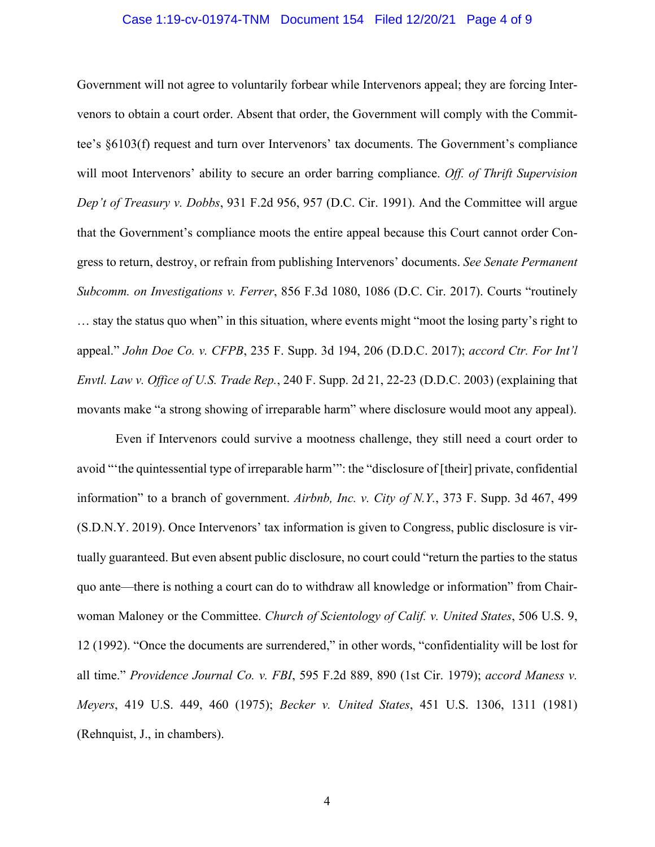## Case 1:19-cv-01974-TNM Document 154 Filed 12/20/21 Page 4 of 9

 Government will not agree to voluntarily forbear while Intervenors appeal; they are forcing Inter- venors to obtain a court order. Absent that order, the Government will comply with the Commit- tee's §6103(f) request and turn over Intervenors' tax documents. The Government's compliance will moot Intervenors' ability to secure an order barring compliance. *Off. of Thrift Supervision Dep't of Treasury v. Dobbs*, 931 F.2d 956, 957 (D.C. Cir. 1991). And the Committee will argue that the Government's compliance moots the entire appeal because this Court cannot order Con- gress to return, destroy, or refrain from publishing Intervenors' documents. *See Senate Permanent*  … stay the status quo when" in this situation, where events might "moot the losing party's right to  appeal." *John Doe Co. v. CFPB*, 235 F. Supp. 3d 194, 206 (D.D.C. 2017); *accord Ctr. For Int'l Envtl. Law v. Office of U.S. Trade Rep.*, 240 F. Supp. 2d 21, 22-23 (D.D.C. 2003) (explaining that *Subcomm. on Investigations v. Ferrer*, 856 F.3d 1080, 1086 (D.C. Cir. 2017). Courts "routinely movants make "a strong showing of irreparable harm" where disclosure would moot any appeal).

 Even if Intervenors could survive a mootness challenge, they still need a court order to avoid "'the quintessential type of irreparable harm'": the "disclosure of [their] private, confidential information" to a branch of government. *Airbnb, Inc. v. City of N.Y.*, 373 F. Supp. 3d 467, 499 (S.D.N.Y. 2019). Once Intervenors' tax information is given to Congress, public disclosure is vir- tually guaranteed. But even absent public disclosure, no court could "return the parties to the status quo ante—there is nothing a court can do to withdraw all knowledge or information" from Chair- woman Maloney or the Committee. *Church of Scientology of Calif. v. United States*, 506 U.S. 9, 12 (1992). "Once the documents are surrendered," in other words, "confidentiality will be lost for all time." *Providence Journal Co. v. FBI*, 595 F.2d 889, 890 (1st Cir. 1979); *accord Maness v. Meyers*, 419 U.S. 449, 460 (1975); *Becker v. United States*, 451 U.S. 1306, 1311 (1981) (Rehnquist, J., in chambers).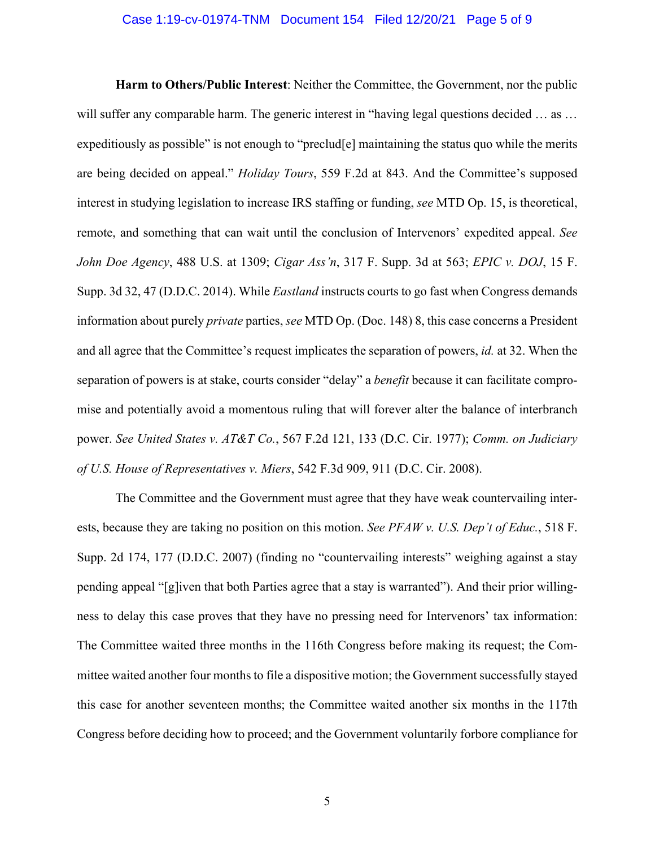#### Case 1:19-cv-01974-TNM Document 154 Filed 12/20/21 Page 5 of 9

 **Harm to Others/Public Interest**: Neither the Committee, the Government, nor the public will suffer any comparable harm. The generic interest in "having legal questions decided ... as ... expeditiously as possible" is not enough to "preclud[e] maintaining the status quo while the merits are being decided on appeal." *Holiday Tours*, 559 F.2d at 843. And the Committee's supposed interest in studying legislation to increase IRS staffing or funding, *see* MTD Op. 15, is theoretical, remote, and something that can wait until the conclusion of Intervenors' expedited appeal. *See John Doe Agency*, 488 U.S. at 1309; *Cigar Ass'n*, 317 F. Supp. 3d at 563; *EPIC v. DOJ*, 15 F. Supp. 3d 32, 47 (D.D.C. 2014). While *Eastland* instructs courts to go fast when Congress demands information about purely *private* parties, *see* MTD Op. (Doc. 148) 8, this case concerns a President and all agree that the Committee's request implicates the separation of powers, *id.* at 32. When the separation of powers is at stake, courts consider "delay" a *benefit* because it can facilitate compro- mise and potentially avoid a momentous ruling that will forever alter the balance of interbranch  power. *See United States v. AT&T Co.*, 567 F.2d 121, 133 (D.C. Cir. 1977); *Comm. on Judiciary of U.S. House of Representatives v. Miers*, 542 F.3d 909, 911 (D.C. Cir. 2008).

 The Committee and the Government must agree that they have weak countervailing inter- ests, because they are taking no position on this motion. *See PFAW v. U.S. Dep't of Educ.*, 518 F. Supp. 2d 174, 177 (D.D.C. 2007) (finding no "countervailing interests" weighing against a stay pending appeal "[g]iven that both Parties agree that a stay is warranted"). And their prior willing- ness to delay this case proves that they have no pressing need for Intervenors' tax information: The Committee waited three months in the 116th Congress before making its request; the Com- mittee waited another four months to file a dispositive motion; the Government successfully stayed this case for another seventeen months; the Committee waited another six months in the 117th Congress before deciding how to proceed; and the Government voluntarily forbore compliance for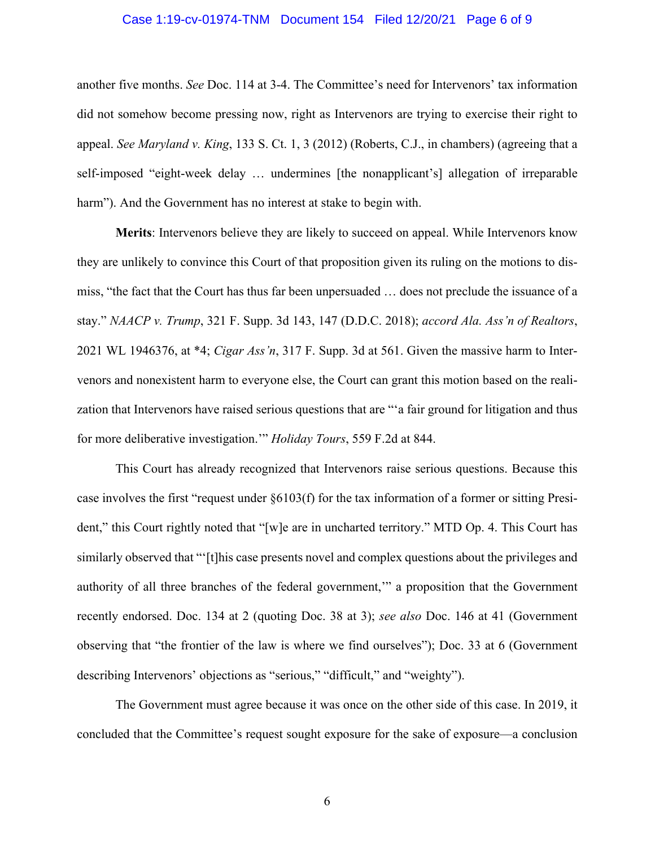#### Case 1:19-cv-01974-TNM Document 154 Filed 12/20/21 Page 6 of 9

 another five months. *See* Doc. 114 at 3-4. The Committee's need for Intervenors' tax information did not somehow become pressing now, right as Intervenors are trying to exercise their right to appeal. *See Maryland v. King*, 133 S. Ct. 1, 3 (2012) (Roberts, C.J., in chambers) (agreeing that a self-imposed "eight-week delay … undermines [the nonapplicant's] allegation of irreparable harm"). And the Government has no interest at stake to begin with.

 **Merits**: Intervenors believe they are likely to succeed on appeal. While Intervenors know they are unlikely to convince this Court of that proposition given its ruling on the motions to dis- miss, "the fact that the Court has thus far been unpersuaded … does not preclude the issuance of a  stay." *NAACP v. Trump*, 321 F. Supp. 3d 143, 147 (D.D.C. 2018); *accord Ala. Ass'n of Realtors*, 2021 WL 1946376, at \*4; *Cigar Ass'n*, 317 F. Supp. 3d at 561. Given the massive harm to Inter- venors and nonexistent harm to everyone else, the Court can grant this motion based on the reali- zation that Intervenors have raised serious questions that are "'a fair ground for litigation and thus for more deliberative investigation.'" *Holiday Tours*, 559 F.2d at 844.

 This Court has already recognized that Intervenors raise serious questions. Because this case involves the first "request under §6103(f) for the tax information of a former or sitting Presi- dent," this Court rightly noted that "[w]e are in uncharted territory." MTD Op. 4. This Court has similarly observed that "'[t]his case presents novel and complex questions about the privileges and authority of all three branches of the federal government,'" a proposition that the Government observing that "the frontier of the law is where we find ourselves"); Doc. 33 at 6 (Government recently endorsed. Doc. 134 at 2 (quoting Doc. 38 at 3); *see also* Doc. 146 at 41 (Government describing Intervenors' objections as "serious," "difficult," and "weighty").

 The Government must agree because it was once on the other side of this case. In 2019, it concluded that the Committee's request sought exposure for the sake of exposure—a conclusion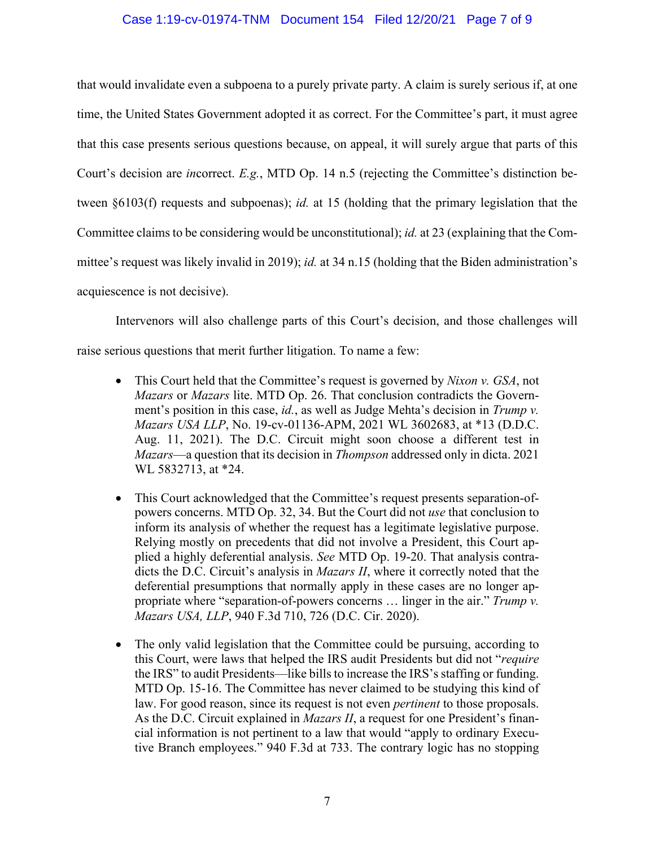### Case 1:19-cv-01974-TNM Document 154 Filed 12/20/21 Page 7 of 9

 that would invalidate even a subpoena to a purely private party. A claim is surely serious if, at one time, the United States Government adopted it as correct. For the Committee's part, it must agree that this case presents serious questions because, on appeal, it will surely argue that parts of this Court's decision are *in*correct. *E.g.*, MTD Op. 14 n.5 (rejecting the Committee's distinction be- tween §6103(f) requests and subpoenas); *id.* at 15 (holding that the primary legislation that the Committee claims to be considering would be unconstitutional); *id.* at 23 (explaining that the Com- mittee's request was likely invalid in 2019); *id.* at 34 n.15 (holding that the Biden administration's acquiescence is not decisive).

 Intervenors will also challenge parts of this Court's decision, and those challenges will raise serious questions that merit further litigation. To name a few:

- • This Court held that the Committee's request is governed by *Nixon v. GSA*, not  *Mazars* or *Mazars* lite. MTD Op. 26. That conclusion contradicts the Govern- ment's position in this case, *id.*, as well as Judge Mehta's decision in *Trump v. Mazars USA LLP*, No. 19-cv-01136-APM, 2021 WL 3602683, at \*13 (D.D.C. Aug. 11, 2021). The D.C. Circuit might soon choose a different test in *Mazars*—a question that its decision in *Thompson* addressed only in dicta. 2021 WL 5832713, at \*24.
- • This Court acknowledged that the Committee's request presents separation-of- powers concerns. MTD Op. 32, 34. But the Court did not *use* that conclusion to inform its analysis of whether the request has a legitimate legislative purpose. Relying mostly on precedents that did not involve a President, this Court ap- plied a highly deferential analysis. *See* MTD Op. 19-20. That analysis contra- dicts the D.C. Circuit's analysis in *Mazars II*, where it correctly noted that the deferential presumptions that normally apply in these cases are no longer ap- propriate where "separation-of-powers concerns … linger in the air." *Trump v. Mazars USA, LLP*, 940 F.3d 710, 726 (D.C. Cir. 2020).
- • The only valid legislation that the Committee could be pursuing, according to this Court, were laws that helped the IRS audit Presidents but did not "*require*  the IRS" to audit Presidents—like bills to increase the IRS's staffing or funding. MTD Op. 15-16. The Committee has never claimed to be studying this kind of law. For good reason, since its request is not even *pertinent* to those proposals. As the D.C. Circuit explained in *Mazars II*, a request for one President's finan- cial information is not pertinent to a law that would "apply to ordinary Execu-tive Branch employees." 940 F.3d at 733. The contrary logic has no stopping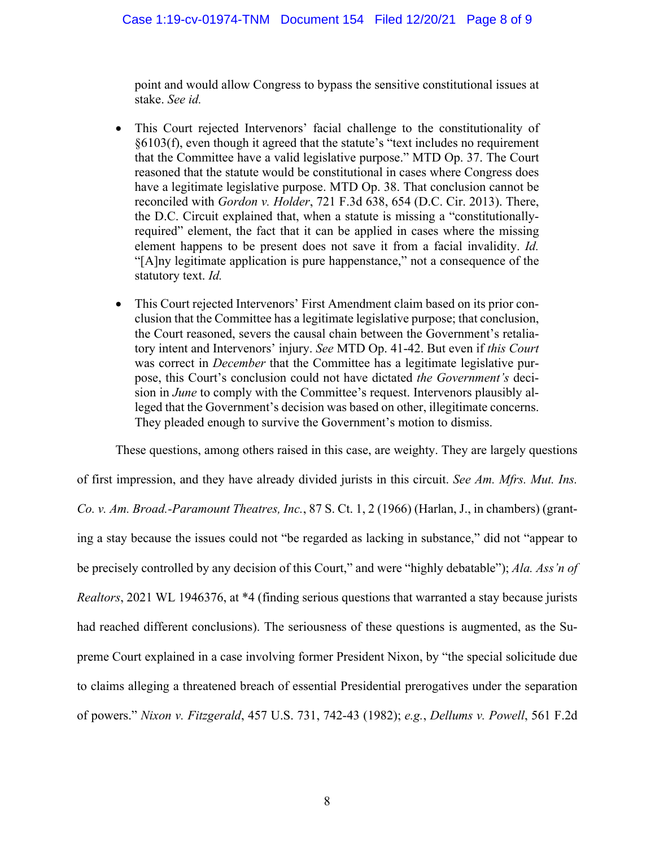point and would allow Congress to bypass the sensitive constitutional issues at stake. *See id.* 

- • This Court rejected Intervenors' facial challenge to the constitutionality of §6103(f), even though it agreed that the statute's "text includes no requirement that the Committee have a valid legislative purpose." MTD Op. 37. The Court reasoned that the statute would be constitutional in cases where Congress does have a legitimate legislative purpose. MTD Op. 38. That conclusion cannot be the D.C. Circuit explained that, when a statute is missing a "constitutionally- required" element, the fact that it can be applied in cases where the missing element happens to be present does not save it from a facial invalidity. *Id.*  "[A]ny legitimate application is pure happenstance," not a consequence of the reconciled with *Gordon v. Holder*, 721 F.3d 638, 654 (D.C. Cir. 2013). There, statutory text. *Id.*
- • This Court rejected Intervenors' First Amendment claim based on its prior con- clusion that the Committee has a legitimate legislative purpose; that conclusion, the Court reasoned, severs the causal chain between the Government's retalia- was correct in *December* that the Committee has a legitimate legislative pur- pose, this Court's conclusion could not have dictated *the Government's* deci- sion in *June* to comply with the Committee's request. Intervenors plausibly al- leged that the Government's decision was based on other, illegitimate concerns. tory intent and Intervenors' injury. *See* MTD Op. 41-42. But even if *this Court*  They pleaded enough to survive the Government's motion to dismiss.

 These questions, among others raised in this case, are weighty. They are largely questions of first impression, and they have already divided jurists in this circuit. *See Am. Mfrs. Mut. Ins.*  ing a stay because the issues could not "be regarded as lacking in substance," did not "appear to be precisely controlled by any decision of this Court," and were "highly debatable"); *Ala. Ass'n of Realtors*, 2021 WL 1946376, at \*4 (finding serious questions that warranted a stay because jurists had reached different conclusions). The seriousness of these questions is augmented, as the Su- preme Court explained in a case involving former President Nixon, by "the special solicitude due to claims alleging a threatened breach of essential Presidential prerogatives under the separation *Co. v. Am. Broad.-Paramount Theatres, Inc.*, 87 S. Ct. 1, 2 (1966) (Harlan, J., in chambers) (grantof powers." *Nixon v. Fitzgerald*, 457 U.S. 731, 742-43 (1982); *e.g.*, *Dellums v. Powell*, 561 F.2d